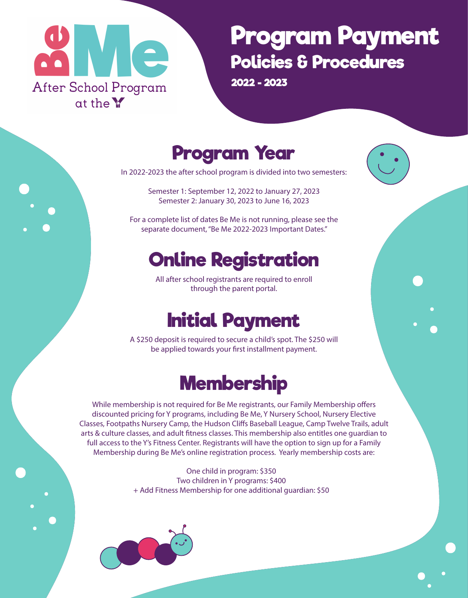

# **Program Payment Policies & Procedures**

**2022 - 2023**

#### **Program Year**

In 2022-2023 the after school program is divided into two semesters:

Semester 1: September 12, 2022 to January 27, 2023 Semester 2: January 30, 2023 to June 16, 2023

For a complete list of dates Be Me is not running, please see the separate document, "Be Me 2022-2023 Important Dates."

## **Online Registration**

All after school registrants are required to enroll through the parent portal.

# **Initial Payment**

A \$250 deposit is required to secure a child's spot. The \$250 will be applied towards your first installment payment.

## **Membership**

While membership is not required for Be Me registrants, our Family Membership offers discounted pricing for Y programs, including Be Me, Y Nursery School, Nursery Elective Classes, Footpaths Nursery Camp, the Hudson Cliffs Baseball League, Camp Twelve Trails, adult arts & culture classes, and adult fitness classes. This membership also entitles one quardian to full access to the Y's Fitness Center. Registrants will have the option to sign up for a Family Membership during Be Me's online registration process. Yearly membership costs are:

> One child in program: \$350 Two children in Y programs: \$400 + Add Fitness Membership for one additional guardian: \$50

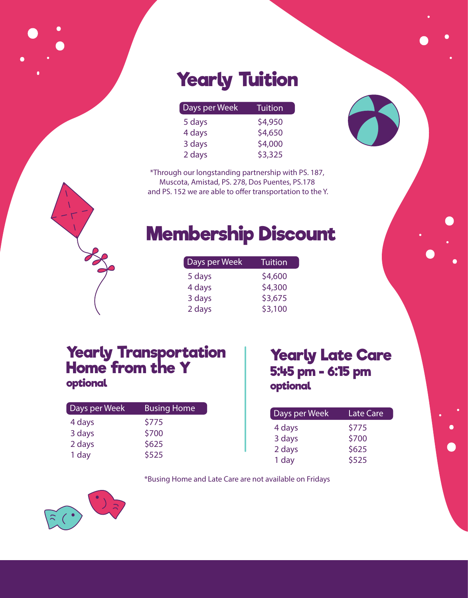# **Yearly Tuition**

| Days per Week | <b>Tuition</b> |
|---------------|----------------|
| 5 days        | \$4,950        |
| 4 days        | \$4,650        |
| 3 days        | \$4,000        |
| 2 days        | \$3,325        |

\*Through our longstanding partnership with PS. 187, Muscota, Amistad, PS. 278, Dos Puentes, PS.178 and PS. 152 we are able to offer transportation to the Y.

## **Membership Discount**

| Days per Week | Tuition |
|---------------|---------|
| 5 days        | \$4,600 |
| 4 days        | \$4,300 |
| 3 days        | \$3,675 |
| 2 days        | \$3,100 |

#### **Yearly Transportation Home from the Y optional**

| Days per Week | <b>Busing Home</b> |
|---------------|--------------------|
| 4 days        | \$775              |
| 3 days        | \$700              |
| 2 days        | \$625              |
| 1 day         | \$525              |

#### **Yearly Late Care 5:45 pm - 6:15 pm optional**

| Days per Week | <b>Late Care</b> |
|---------------|------------------|
| 4 days        | \$775            |
| 3 days        | \$700            |
| 2 days        | \$625            |
| 1 day         | \$525            |

\*Busing Home and Late Care are not available on Fridays

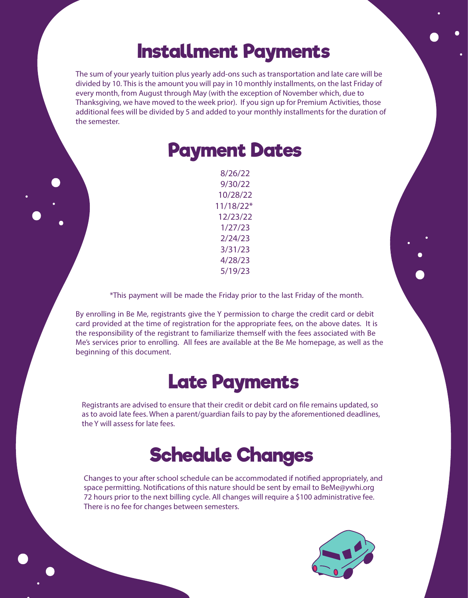#### **Installment Payments**

The sum of your yearly tuition plus yearly add-ons such as transportation and late care will be divided by 10. This is the amount you will pay in 10 monthly installments, on the last Friday of every month, from August through May (with the exception of November which, due to Thanksgiving, we have moved to the week prior). If you sign up for Premium Activities, those additional fees will be divided by 5 and added to your monthly installments for the duration of the semester.

| <b>Payment Dates</b> |
|----------------------|
| 8/26/22              |
| 9/30/22              |
| 10/28/22             |
| $11/18/22*$          |
| 12/23/22             |
| 1/27/23              |
| 2/24/23              |
| 3/31/23              |
| 4/28/23              |
| 5/19/23              |
|                      |

\*This payment will be made the Friday prior to the last Friday of the month.

By enrolling in Be Me, registrants give the Y permission to charge the credit card or debit card provided at the time of registration for the appropriate fees, on the above dates. It is the responsibility of the registrant to familiarize themself with the fees associated with Be Me's services prior to enrolling. All fees are available at the Be Me homepage, as well as the beginning of this document.

#### **Late Payments**

Registrants are advised to ensure that their credit or debit card on file remains updated, so as to avoid late fees. When a parent/guardian fails to pay by the aforementioned deadlines, the Y will assess for late fees.

#### **Schedule Changes**

Changes to your after school schedule can be accommodated if notified appropriately, and space permitting. Notifications of this nature should be sent by email to BeMe@ywhi.org 72 hours prior to the next billing cycle. All changes will require a \$100 administrative fee. There is no fee for changes between semesters.

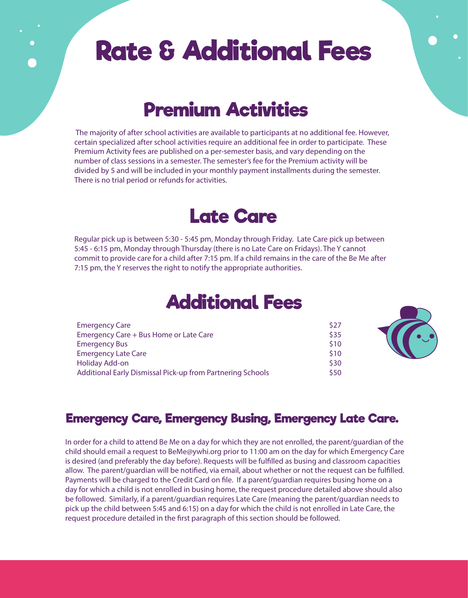# **Rate & Additional Fees**

## **Premium Activities**

 The majority of after school activities are available to participants at no additional fee. However, certain specialized after school activities require an additional fee in order to participate. These Premium Activity fees are published on a per-semester basis, and vary depending on the number of class sessions in a semester. The semester's fee for the Premium activity will be divided by 5 and will be included in your monthly payment installments during the semester. There is no trial period or refunds for activities.

#### **Late Care**

Regular pick up is between 5:30 - 5:45 pm, Monday through Friday. Late Care pick up between 5:45 - 6:15 pm, Monday through Thursday (there is no Late Care on Fridays). The Y cannot commit to provide care for a child after 7:15 pm. If a child remains in the care of the Be Me after 7:15 pm, the Y reserves the right to notify the appropriate authorities.

#### **Additional Fees**

| <b>Emergency Care</b>                                      | \$27 |
|------------------------------------------------------------|------|
| Emergency Care + Bus Home or Late Care                     | \$35 |
| <b>Emergency Bus</b>                                       | \$10 |
| <b>Emergency Late Care</b>                                 | \$10 |
| <b>Holiday Add-on</b>                                      | \$30 |
| Additional Early Dismissal Pick-up from Partnering Schools |      |



#### **Emergency Care, Emergency Busing, Emergency Late Care.**

In order for a child to attend Be Me on a day for which they are not enrolled, the parent/guardian of the child should email a request to BeMe@ywhi.org prior to 11:00 am on the day for which Emergency Care is desired (and preferably the day before). Requests will be fulfilled as busing and classroom capacities allow. The parent/guardian will be notified, via email, about whether or not the request can be fulfilled. Payments will be charged to the Credit Card on file. If a parent/guardian requires busing home on a day for which a child is not enrolled in busing home, the request procedure detailed above should also be followed. Similarly, if a parent/guardian requires Late Care (meaning the parent/guardian needs to pick up the child between 5:45 and 6:15) on a day for which the child is not enrolled in Late Care, the request procedure detailed in the first paragraph of this section should be followed.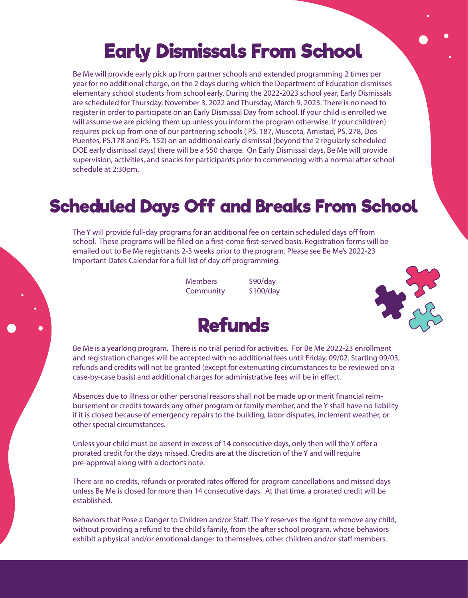## **Early Dismissals From School**

Be Me will provide early pick up from partner schools and extended programming 2 times per year for no additional charge, on the 2 days during which the Department of Education dismisses elementary school students from school early. During the 2022-2023 school year, Early Dismissals are scheduled for Thursday, November 3, 2022 and Thursday, March 9, 2023. There is no need to register in order to participate on an Early Dismissal Day from school. If your child is enrolled we will assume we are picking them up unless you inform the program otherwise. If your child(ren) requires pick up from one of our partnering schools ( PS. 187, Muscota, Amistad, PS. 278, Dos Puentes, PS.178 and PS. 152) on an additional early dismissal (beyond the 2 regularly scheduled DOE early dismissal days) there will be a \$50 charge. On Early Dismissal days, Be Me will provide supervision, activities, and snacks for participants prior to commencing with a normal after school schedule at 2:30pm.

#### **Scheduled Days Off and Breaks From School**

The Y will provide full-day programs for an additional fee on certain scheduled days off from school. These programs will be filled on a first-come first-served basis. Registration forms will be emailed out to Be Me registrants 2-3 weeks prior to the program. Please see Be Me's 2022-23 Important Dates Calendar for a full list of day off programming.

> Members \$90/day Community \$100/day





Be Me is a yearlong program. There is no trial period for activities. For Be Me 2022-23 enrollment and registration changes will be accepted with no additional fees until Friday, 09/02. Starting 09/03, refunds and credits will not be granted (except for extenuating circumstances to be reviewed on a case-by-case basis) and additional charges for administrative fees will be in effect.

Absences due to illness or other personal reasons shall not be made up or merit financial reimbursement or credits towards any other program or family member, and the Y shall have no liability if it is closed because of emergency repairs to the building, labor disputes, inclement weather, or other special circumstances.

Unless your child must be absent in excess of 14 consecutive days, only then will the Y offer a prorated credit for the days missed. Credits are at the discretion of the Y and will require pre-approval along with a doctor's note.

There are no credits, refunds or prorated rates offered for program cancellations and missed days unless Be Me is closed for more than 14 consecutive days. At that time, a prorated credit will be established.

Behaviors that Pose a Danger to Children and/or Staff. The Y reserves the right to remove any child, without providing a refund to the child's family, from the after school program, whose behaviors exhibit a physical and/or emotional danger to themselves, other children and/or staff members.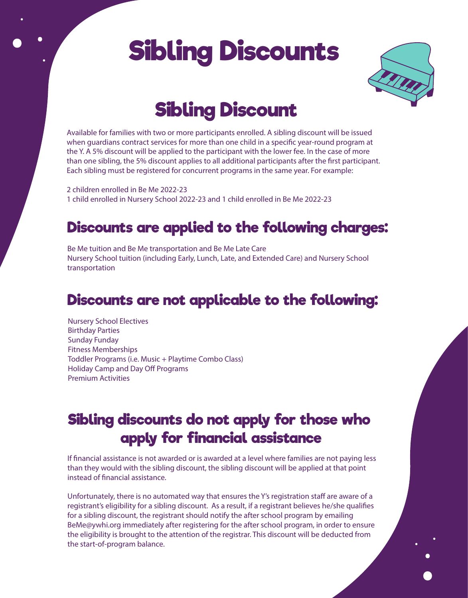# **Sibling Discounts**



# **Sibling Discount**

Available for families with two or more participants enrolled. A sibling discount will be issued when guardians contract services for more than one child in a specific year-round program at the Y. A 5% discount will be applied to the participant with the lower fee. In the case of more than one sibling, the 5% discount applies to all additional participants after the first participant. Each sibling must be registered for concurrent programs in the same year. For example:

2 children enrolled in Be Me 2022-23 1 child enrolled in Nursery School 2022-23 and 1 child enrolled in Be Me 2022-23

#### **Discounts are applied to the following charges:**

Be Me tuition and Be Me transportation and Be Me Late Care Nursery School tuition (including Early, Lunch, Late, and Extended Care) and Nursery School transportation

#### **Discounts are not applicable to the following:**

Nursery School Electives Birthday Parties Sunday Funday Fitness Memberships Toddler Programs (i.e. Music + Playtime Combo Class) Holiday Camp and Day Off Programs Premium Activities

#### **Sibling discounts do not apply for those who apply for financial assistance**

If financial assistance is not awarded or is awarded at a level where families are not paying less than they would with the sibling discount, the sibling discount will be applied at that point instead of financial assistance.

Unfortunately, there is no automated way that ensures the Y's registration staff are aware of a registrant's eligibility for a sibling discount. As a result, if a registrant believes he/she qualifies for a sibling discount, the registrant should notify the after school program by emailing BeMe@ywhi.org immediately after registering for the after school program, in order to ensure the eligibility is brought to the attention of the registrar. This discount will be deducted from the start-of-program balance.